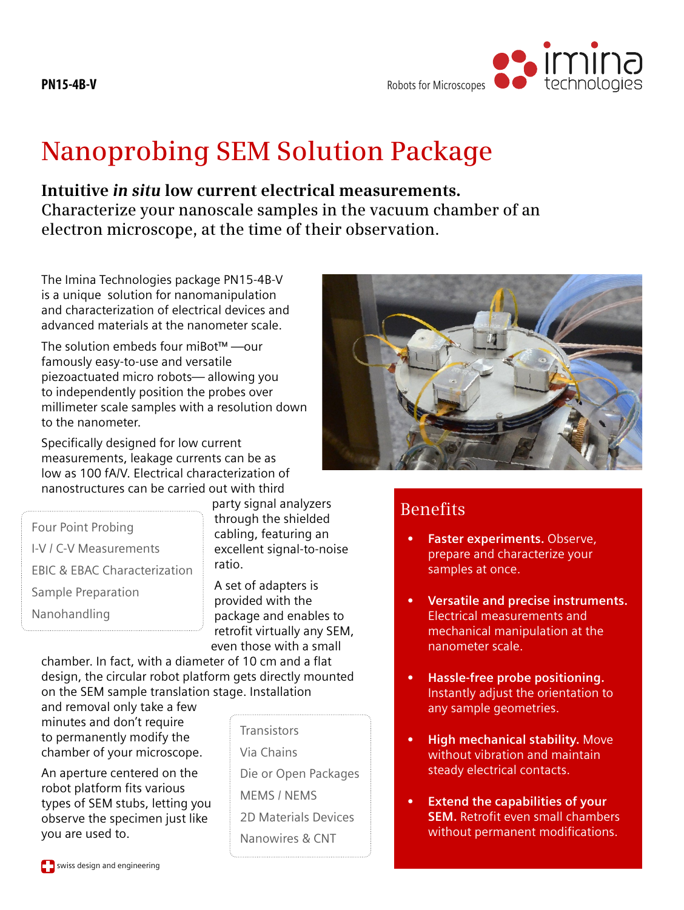

## **Nanoprobing SEM Solution Package**

**Intuitive** *in situ* **low current electrical measurements. Characterize your nanoscale samples in the vacuum chamber of an electron microscope, at the time of their observation.**

The Imina Technologies package PN15-4B-V is a unique solution for nanomanipulation and characterization of electrical devices and advanced materials at the nanometer scale.

The solution embeds four miBot™ —our famously easy-to-use and versatile piezoactuated micro robots— allowing you to independently position the probes over millimeter scale samples with a resolution down to the nanometer.

Specifically designed for low current measurements, leakage currents can be as low as 100 fA/V. Electrical characterization of nanostructures can be carried out with third

Four Point Probing I-V / C-V Measurements EBIC & EBAC Characterization Sample Preparation Nanohandling

party signal analyzers through the shielded cabling, featuring an excellent signal-to-noise ratio.

A set of adapters is provided with the package and enables to retrofit virtually any SEM, even those with a small

chamber. In fact, with a diameter of 10 cm and a flat design, the circular robot platform gets directly mounted on the SEM sample translation stage. Installation

and removal only take a few minutes and don't require to permanently modify the chamber of your microscope.

An aperture centered on the robot platform fits various types of SEM stubs, letting you observe the specimen just like you are used to.

**Transistors** 

Via Chains

Die or Open Packages MEMS / NEMS 2D Materials Devices Nanowires & CNT



## Benefits

- **Faster experiments. Observe,** prepare and characterize your samples at once.
- **• Versatile and precise instruments.** Electrical measurements and mechanical manipulation at the nanometer scale.
- **• Hassle-free probe positioning.** Instantly adjust the orientation to any sample geometries.
- **High mechanical stability.** Move without vibration and maintain steady electrical contacts.
- **Extend the capabilities of your SEM.** Retrofit even small chambers without permanent modifications.